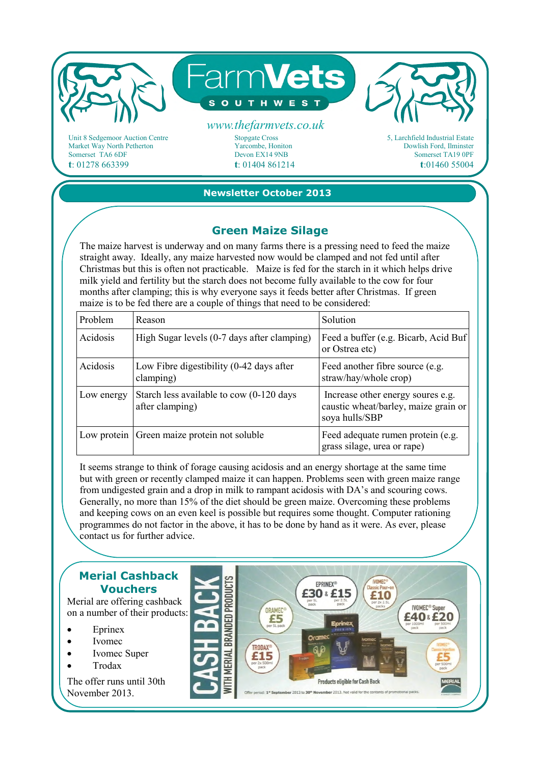

Market Way North Petherton Somerset TA6 6DF **t**: 01278 663399

Yarcombe, Honiton Devon EX14 9NB **t**: 01404 861214 5, Larchfield Industrial Estate Dowlish Ford, Ilminster Somerset TA19 0PF **t**:01460 55004

## **Newsletter October 2013**

## **Green Maize Silage**

The maize harvest is underway and on many farms there is a pressing need to feed the maize straight away. Ideally, any maize harvested now would be clamped and not fed until after Christmas but this is often not practicable. Maize is fed for the starch in it which helps drive milk yield and fertility but the starch does not become fully available to the cow for four months after clamping; this is why everyone says it feeds better after Christmas. If green maize is to be fed there are a couple of things that need to be considered:

| Problem     | Reason                                                      | <b>Solution</b>                                                                             |
|-------------|-------------------------------------------------------------|---------------------------------------------------------------------------------------------|
| Acidosis    | High Sugar levels (0-7 days after clamping)                 | Feed a buffer (e.g. Bicarb, Acid Buf)<br>or Ostrea etc)                                     |
| Acidosis    | Low Fibre digestibility (0-42 days after<br>clamping)       | Feed another fibre source (e.g.<br>straw/hay/whole crop)                                    |
| Low energy  | Starch less available to cow (0-120 days<br>after clamping) | Increase other energy soures e.g.<br>caustic wheat/barley, maize grain or<br>soya hulls/SBP |
| Low protein | Green maize protein not soluble                             | Feed adequate rumen protein (e.g.<br>grass silage, urea or rape)                            |

It seems strange to think of forage causing acidosis and an energy shortage at the same time but with green or recently clamped maize it can happen. Problems seen with green maize range from undigested grain and a drop in milk to rampant acidosis with DA's and scouring cows. Generally, no more than 15% of the diet should be green maize. Overcoming these problems and keeping cows on an even keel is possible but requires some thought. Computer rationing programmes do not factor in the above, it has to be done by hand as it were. As ever, please contact us for further advice.